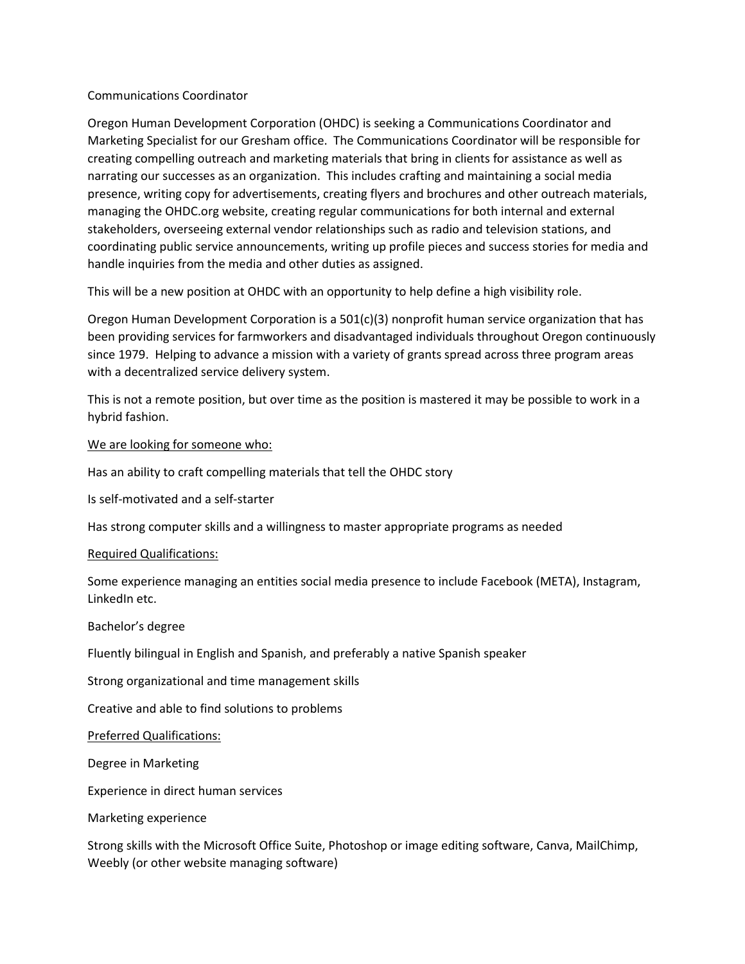### Communications Coordinator

Oregon Human Development Corporation (OHDC) is seeking a Communications Coordinator and Marketing Specialist for our Gresham office. The Communications Coordinator will be responsible for creating compelling outreach and marketing materials that bring in clients for assistance as well as narrating our successes as an organization. This includes crafting and maintaining a social media presence, writing copy for advertisements, creating flyers and brochures and other outreach materials, managing the OHDC.org website, creating regular communications for both internal and external stakeholders, overseeing external vendor relationships such as radio and television stations, and coordinating public service announcements, writing up profile pieces and success stories for media and handle inquiries from the media and other duties as assigned.

This will be a new position at OHDC with an opportunity to help define a high visibility role.

Oregon Human Development Corporation is a 501(c)(3) nonprofit human service organization that has been providing services for farmworkers and disadvantaged individuals throughout Oregon continuously since 1979. Helping to advance a mission with a variety of grants spread across three program areas with a decentralized service delivery system.

This is not a remote position, but over time as the position is mastered it may be possible to work in a hybrid fashion.

We are looking for someone who:

Has an ability to craft compelling materials that tell the OHDC story

Is self-motivated and a self-starter

Has strong computer skills and a willingness to master appropriate programs as needed

### Required Qualifications:

Some experience managing an entities social media presence to include Facebook (META), Instagram, LinkedIn etc.

#### Bachelor's degree

Fluently bilingual in English and Spanish, and preferably a native Spanish speaker

Strong organizational and time management skills

Creative and able to find solutions to problems

Preferred Qualifications:

Degree in Marketing

Experience in direct human services

Marketing experience

Strong skills with the Microsoft Office Suite, Photoshop or image editing software, Canva, MailChimp, Weebly (or other website managing software)